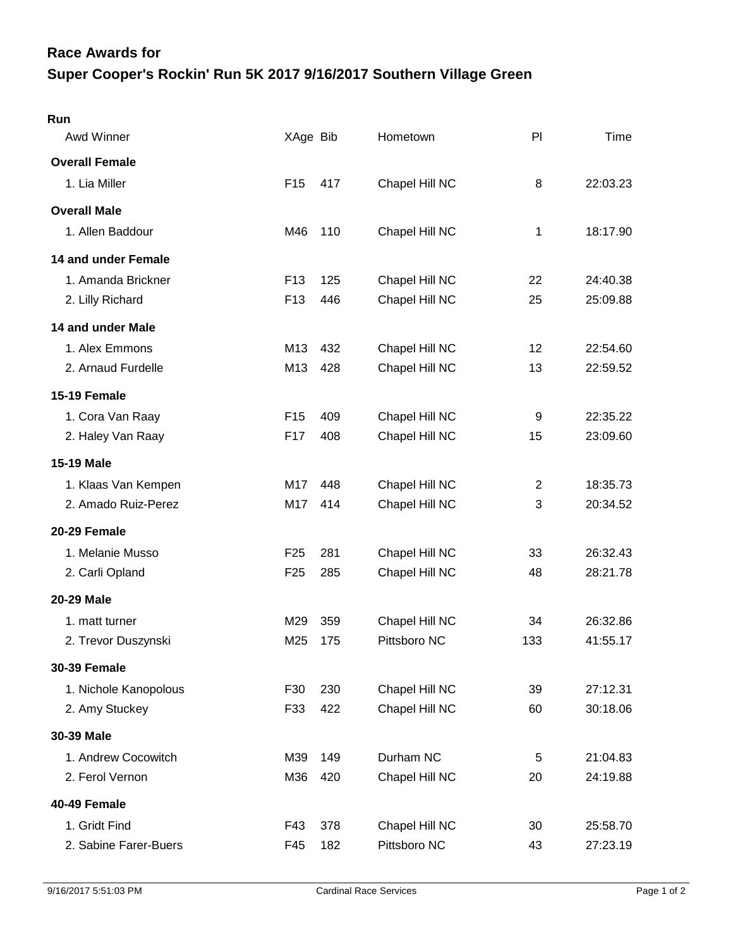## **Super Cooper's Rockin' Run 5K 2017 9/16/2017 Southern Village Green Race Awards for**

| Run                   |                 |     |                |                |          |
|-----------------------|-----------------|-----|----------------|----------------|----------|
| Awd Winner            | XAge Bib        |     | Hometown       | PI             | Time     |
| <b>Overall Female</b> |                 |     |                |                |          |
| 1. Lia Miller         | F <sub>15</sub> | 417 | Chapel Hill NC | 8              | 22:03.23 |
| <b>Overall Male</b>   |                 |     |                |                |          |
| 1. Allen Baddour      | M46             | 110 | Chapel Hill NC | 1              | 18:17.90 |
| 14 and under Female   |                 |     |                |                |          |
| 1. Amanda Brickner    | F <sub>13</sub> | 125 | Chapel Hill NC | 22             | 24:40.38 |
| 2. Lilly Richard      | F <sub>13</sub> | 446 | Chapel Hill NC | 25             | 25:09.88 |
| 14 and under Male     |                 |     |                |                |          |
| 1. Alex Emmons        | M13             | 432 | Chapel Hill NC | 12             | 22:54.60 |
| 2. Arnaud Furdelle    | M13             | 428 | Chapel Hill NC | 13             | 22:59.52 |
| 15-19 Female          |                 |     |                |                |          |
| 1. Cora Van Raay      | F <sub>15</sub> | 409 | Chapel Hill NC | 9              | 22:35.22 |
| 2. Haley Van Raay     | F17             | 408 | Chapel Hill NC | 15             | 23:09.60 |
| <b>15-19 Male</b>     |                 |     |                |                |          |
| 1. Klaas Van Kempen   | M17             | 448 | Chapel Hill NC | $\overline{2}$ | 18:35.73 |
| 2. Amado Ruiz-Perez   | M17             | 414 | Chapel Hill NC | 3              | 20:34.52 |
| 20-29 Female          |                 |     |                |                |          |
| 1. Melanie Musso      | F <sub>25</sub> | 281 | Chapel Hill NC | 33             | 26:32.43 |
| 2. Carli Opland       | F <sub>25</sub> | 285 | Chapel Hill NC | 48             | 28:21.78 |
| 20-29 Male            |                 |     |                |                |          |
| 1. matt turner        | M29             | 359 | Chapel Hill NC | 34             | 26:32.86 |
| 2. Trevor Duszynski   | M25             | 175 | Pittsboro NC   | 133            | 41:55.17 |
| <b>30-39 Female</b>   |                 |     |                |                |          |
| 1. Nichole Kanopolous | F30             | 230 | Chapel Hill NC | 39             | 27:12.31 |
| 2. Amy Stuckey        | F33             | 422 | Chapel Hill NC | 60             | 30:18.06 |
| 30-39 Male            |                 |     |                |                |          |
| 1. Andrew Cocowitch   | M39             | 149 | Durham NC      | 5              | 21:04.83 |
| 2. Ferol Vernon       | M36             | 420 | Chapel Hill NC | 20             | 24:19.88 |
| 40-49 Female          |                 |     |                |                |          |
| 1. Gridt Find         | F43             | 378 | Chapel Hill NC | 30             | 25:58.70 |
| 2. Sabine Farer-Buers | F45             | 182 | Pittsboro NC   | 43             | 27:23.19 |